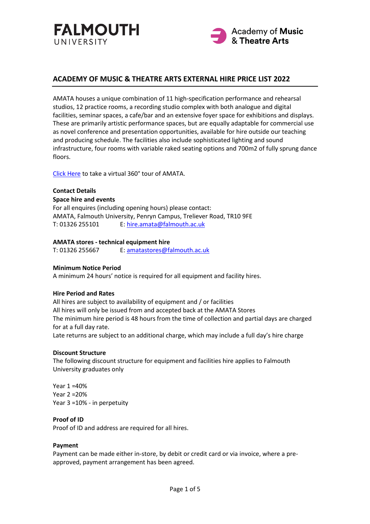



## **ACADEMY OF MUSIC & THEATRE ARTS EXTERNAL HIRE PRICE LIST 2022**

AMATA houses a unique combination of 11 high-specification performance and rehearsal studios, 12 practice rooms, a recording studio complex with both analogue and digital facilities, seminar spaces, a cafe/bar and an extensive foyer space for exhibitions and displays. These are primarily artistic performance spaces, but are equally adaptable for commercial use as novel conference and presentation opportunities, available for hire outside our teaching and producing schedule. The facilities also include sophisticated lighting and sound infrastructure, four rooms with variable raked seating options and 700m2 of fully sprung dance floors.

[Click Here](https://360.falmouth.ac.uk/#s=pano4613) to take a virtual 360° tour of AMATA.

#### **Contact Details**

#### **Space hire and events**

For all enquires (including opening hours) please contact: AMATA, Falmouth University, Penryn Campus, Treliever Road, TR10 9FE T: 01326 255101 E: [hire.amata@falmouth.ac.uk](mailto:hire.amata@falmouth.ac.uk)

#### **AMATA stores - technical equipment hire**

T: 01326 255667 E: [amatastores@falmouth.ac.uk](mailto:amatastores@falmouth.ac.uk)

### **Minimum Notice Period**

A minimum 24 hours' notice is required for all equipment and facility hires.

#### **Hire Period and Rates**

All hires are subject to availability of equipment and / or facilities All hires will only be issued from and accepted back at the AMATA Stores The minimum hire period is 48 hours from the time of collection and partial days are charged for at a full day rate. Late returns are subject to an additional charge, which may include a full day's hire charge

#### **Discount Structure**

The following discount structure for equipment and facilities hire applies to Falmouth University graduates only

Year 1 =40% Year 2 =20% Year 3 =10% - in perpetuity

### **Proof of ID**

Proof of ID and address are required for all hires.

### **Payment**

Payment can be made either in-store, by debit or credit card or via invoice, where a preapproved, payment arrangement has been agreed.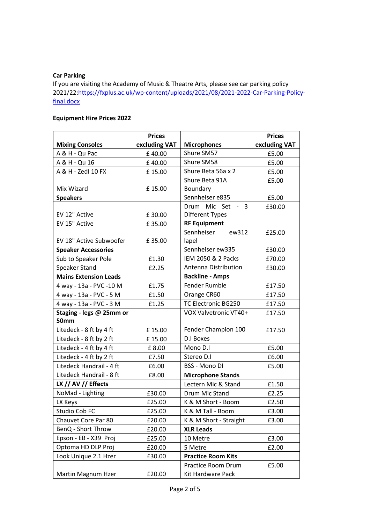# **Car Parking**

If you are visiting the Academy of Music & Theatre Arts, please see car parking policy 2021/22[:https://fxplus.ac.uk/wp-content/uploads/2021/08/2021-2022-Car-Parking-Policy](https://fxplus.ac.uk/wp-content/uploads/2021/08/2021-2022-Car-Parking-Policy-final.docx)[final.docx](https://fxplus.ac.uk/wp-content/uploads/2021/08/2021-2022-Car-Parking-Policy-final.docx)

# **Equipment Hire Prices 2022**

|                              | <b>Prices</b> |                           | <b>Prices</b> |  |  |
|------------------------------|---------------|---------------------------|---------------|--|--|
| <b>Mixing Consoles</b>       | excluding VAT | <b>Microphones</b>        | excluding VAT |  |  |
| A & H - Qu Pac               | £40.00        | Shure SM57                | £5.00         |  |  |
| A & H - Qu 16                | £40.00        | Shure SM58                | £5.00         |  |  |
| A & H - ZedI 10 FX           | £15.00        | Shure Beta 56a x 2        | £5.00         |  |  |
|                              |               | Shure Beta 91A            | £5.00         |  |  |
| Mix Wizard                   | £15.00        | Boundary                  |               |  |  |
| <b>Speakers</b>              |               | Sennheiser e835           | £5.00         |  |  |
|                              |               | Drum Mic Set - 3          | £30.00        |  |  |
| EV 12" Active                | £30.00        | <b>Different Types</b>    |               |  |  |
| EV 15" Active                | £35.00        | <b>RF Equipment</b>       |               |  |  |
|                              |               | Sennheiser<br>ew312       | £25.00        |  |  |
| EV 18" Active Subwoofer      | £35.00        | lapel                     |               |  |  |
| <b>Speaker Accessories</b>   |               | Sennheiser ew335          | £30.00        |  |  |
| Sub to Speaker Pole          | £1.30         | IEM 2050 & 2 Packs        | £70.00        |  |  |
| Speaker Stand                | £2.25         | Antenna Distribution      | £30.00        |  |  |
| <b>Mains Extension Leads</b> |               | <b>Backline - Amps</b>    |               |  |  |
| 4 way - 13a - PVC - 10 M     | £1.75         | <b>Fender Rumble</b>      | £17.50        |  |  |
| 4 way - 13a - PVC - 5 M      | £1.50         | Orange CR60               | £17.50        |  |  |
| 4 way - 13a - PVC - 3 M      | £1.25         | TC Electronic BG250       | £17.50        |  |  |
| Staging - legs @ 25mm or     |               | VOX Valvetronic VT40+     | £17.50        |  |  |
| <b>50mm</b>                  |               |                           |               |  |  |
| Litedeck - 8 ft by 4 ft      | £15.00        | Fender Champion 100       | £17.50        |  |  |
| Litedeck - 8 ft by 2 ft      | £15.00        | D.I Boxes                 |               |  |  |
| Litedeck - 4 ft by 4 ft      | £8.00         | Mono D.I                  | £5.00         |  |  |
| Litedeck - 4 ft by 2 ft      | £7.50         | Stereo D.I                | £6.00         |  |  |
| Litedeck Handrail - 4 ft     | £6.00         | <b>BSS - Mono DI</b>      | £5.00         |  |  |
| Litedeck Handrail - 8 ft     | £8.00         | <b>Microphone Stands</b>  |               |  |  |
| LX // AV // Effects          |               | Lectern Mic & Stand       | £1.50         |  |  |
| NoMad - Lighting             | £30.00        | Drum Mic Stand            | £2.25         |  |  |
| LX Keys                      | £25.00        | K & M Short - Boom        | £2.50         |  |  |
| Studio Cob FC                | £25.00        | K & M Tall - Boom         | £3.00         |  |  |
| Chauvet Core Par 80          | £20.00        | K & M Short - Straight    | £3.00         |  |  |
| BenQ - Short Throw           | £20.00        | <b>XLR Leads</b>          |               |  |  |
| Epson - EB - X39 Proj        | £25.00        | 10 Metre                  | £3.00         |  |  |
| Optoma HD DLP Proj           | £20.00        | 5 Metre                   | £2.00         |  |  |
| Look Unique 2.1 Hzer         | £30.00        | <b>Practice Room Kits</b> |               |  |  |
|                              |               | Practice Room Drum        | £5.00         |  |  |
| Martin Magnum Hzer           | £20.00        | Kit Hardware Pack         |               |  |  |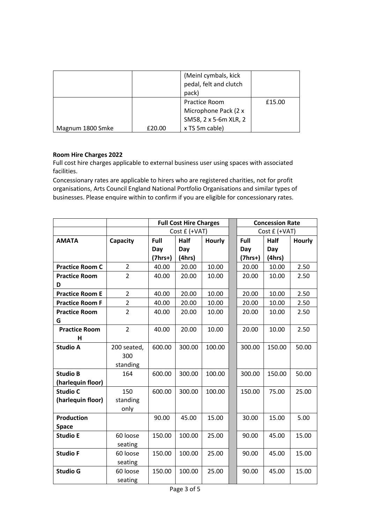|                  |        | (Meinl cymbals, kick<br>pedal, felt and clutch<br>pack) |        |
|------------------|--------|---------------------------------------------------------|--------|
|                  |        | <b>Practice Room</b>                                    | £15.00 |
|                  |        | Microphone Pack (2 x                                    |        |
|                  |        | SM58, 2 x 5-6m XLR, 2                                   |        |
| Magnum 1800 Smke | £20.00 | x TS 5m cable)                                          |        |

## **Room Hire Charges 2022**

Full cost hire charges applicable to external business user using spaces with associated facilities.

Concessionary rates are applicable to hirers who are registered charities, not for profit organisations, Arts Council England National Portfolio Organisations and similar types of businesses. Please enquire within to confirm if you are eligible for concessionary rates.

|                        |                | <b>Full Cost Hire Charges</b> |             |        | <b>Concession Rate</b> |        |               |  |
|------------------------|----------------|-------------------------------|-------------|--------|------------------------|--------|---------------|--|
|                        |                | Cost £ (+VAT)                 |             |        | Cost £ (+VAT)          |        |               |  |
| <b>AMATA</b>           | Capacity       | Full                          | <b>Half</b> | Hourly | Full                   | Half   | <b>Hourly</b> |  |
|                        |                | Day                           | Day         |        | Day                    | Day    |               |  |
|                        |                | $(7hrs+)$                     | (4hrs)      |        | $(7hrs+)$              | (4hrs) |               |  |
| <b>Practice Room C</b> | $\overline{2}$ | 40.00                         | 20.00       | 10.00  | 20.00                  | 10.00  | 2.50          |  |
| <b>Practice Room</b>   | $\overline{2}$ | 40.00                         | 20.00       | 10.00  | 20.00                  | 10.00  | 2.50          |  |
| D                      |                |                               |             |        |                        |        |               |  |
| <b>Practice Room E</b> | $\overline{2}$ | 40.00                         | 20.00       | 10.00  | 20.00                  | 10.00  | 2.50          |  |
| <b>Practice Room F</b> | $\overline{2}$ | 40.00                         | 20.00       | 10.00  | 20.00                  | 10.00  | 2.50          |  |
| <b>Practice Room</b>   | $\overline{2}$ | 40.00                         | 20.00       | 10.00  | 20.00                  | 10.00  | 2.50          |  |
| G                      |                |                               |             |        |                        |        |               |  |
| <b>Practice Room</b>   | $\overline{2}$ | 40.00                         | 20.00       | 10.00  | 20.00                  | 10.00  | 2.50          |  |
| н                      |                |                               |             |        |                        |        |               |  |
| <b>Studio A</b>        | 200 seated,    | 600.00                        | 300.00      | 100.00 | 300.00                 | 150.00 | 50.00         |  |
|                        | 300            |                               |             |        |                        |        |               |  |
|                        | standing       |                               |             |        |                        |        |               |  |
| <b>Studio B</b>        | 164            | 600.00                        | 300.00      | 100.00 | 300.00                 | 150.00 | 50.00         |  |
| (harlequin floor)      |                |                               |             |        |                        |        |               |  |
| <b>Studio C</b>        | 150            | 600.00                        | 300.00      | 100.00 | 150.00                 | 75.00  | 25.00         |  |
| (harlequin floor)      | standing       |                               |             |        |                        |        |               |  |
|                        | only           |                               |             |        |                        |        |               |  |
| <b>Production</b>      |                | 90.00                         | 45.00       | 15.00  | 30.00                  | 15.00  | 5.00          |  |
| <b>Space</b>           |                |                               |             |        |                        |        |               |  |
| <b>Studio E</b>        | 60 loose       | 150.00                        | 100.00      | 25.00  | 90.00                  | 45.00  | 15.00         |  |
|                        | seating        |                               |             |        |                        |        |               |  |
| <b>Studio F</b>        | 60 loose       | 150.00                        | 100.00      | 25.00  | 90.00                  | 45.00  | 15.00         |  |
|                        | seating        |                               |             |        |                        |        |               |  |
| <b>Studio G</b>        | 60 loose       | 150.00                        | 100.00      | 25.00  | 90.00                  | 45.00  | 15.00         |  |
|                        | seating        |                               |             |        |                        |        |               |  |